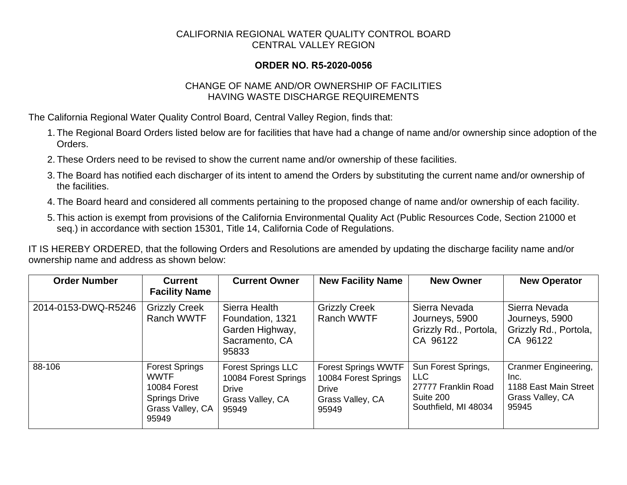## CALIFORNIA REGIONAL WATER QUALITY CONTROL BOARD CENTRAL VALLEY REGION

## **ORDER NO. R5-2020-0056**

## CHANGE OF NAME AND/OR OWNERSHIP OF FACILITIES HAVING WASTE DISCHARGE REQUIREMENTS

The California Regional Water Quality Control Board, Central Valley Region, finds that:

- 1. The Regional Board Orders listed below are for facilities that have had a change of name and/or ownership since adoption of the Orders.
- 2. These Orders need to be revised to show the current name and/or ownership of these facilities.
- 3. The Board has notified each discharger of its intent to amend the Orders by substituting the current name and/or ownership of the facilities.
- 4. The Board heard and considered all comments pertaining to the proposed change of name and/or ownership of each facility.
- 5. This action is exempt from provisions of the California Environmental Quality Act (Public Resources Code, Section 21000 et seq.) in accordance with section 15301, Title 14, California Code of Regulations.

IT IS HEREBY ORDERED, that the following Orders and Resolutions are amended by updating the discharge facility name and/or ownership name and address as shown below:

| <b>Order Number</b> | <b>Current</b><br><b>Facility Name</b>                                                                    | <b>Current Owner</b>                                                                           | <b>New Facility Name</b>                                                                        | <b>New Owner</b>                                                                              | <b>New Operator</b>                                                                |
|---------------------|-----------------------------------------------------------------------------------------------------------|------------------------------------------------------------------------------------------------|-------------------------------------------------------------------------------------------------|-----------------------------------------------------------------------------------------------|------------------------------------------------------------------------------------|
| 2014-0153-DWQ-R5246 | <b>Grizzly Creek</b><br>Ranch WWTF                                                                        | Sierra Health<br>Foundation, 1321<br>Garden Highway,<br>Sacramento, CA<br>95833                | <b>Grizzly Creek</b><br>Ranch WWTF                                                              | Sierra Nevada<br>Journeys, 5900<br>Grizzly Rd., Portola,<br>CA 96122                          | Sierra Nevada<br>Journeys, 5900<br>Grizzly Rd., Portola,<br>CA 96122               |
| 88-106              | <b>Forest Springs</b><br><b>WWTF</b><br>10084 Forest<br><b>Springs Drive</b><br>Grass Valley, CA<br>95949 | <b>Forest Springs LLC</b><br>10084 Forest Springs<br><b>Drive</b><br>Grass Valley, CA<br>95949 | <b>Forest Springs WWTF</b><br>10084 Forest Springs<br><b>Drive</b><br>Grass Valley, CA<br>95949 | Sun Forest Springs,<br><b>LLC</b><br>27777 Franklin Road<br>Suite 200<br>Southfield, MI 48034 | Cranmer Engineering,<br>Inc.<br>1188 East Main Street<br>Grass Valley, CA<br>95945 |